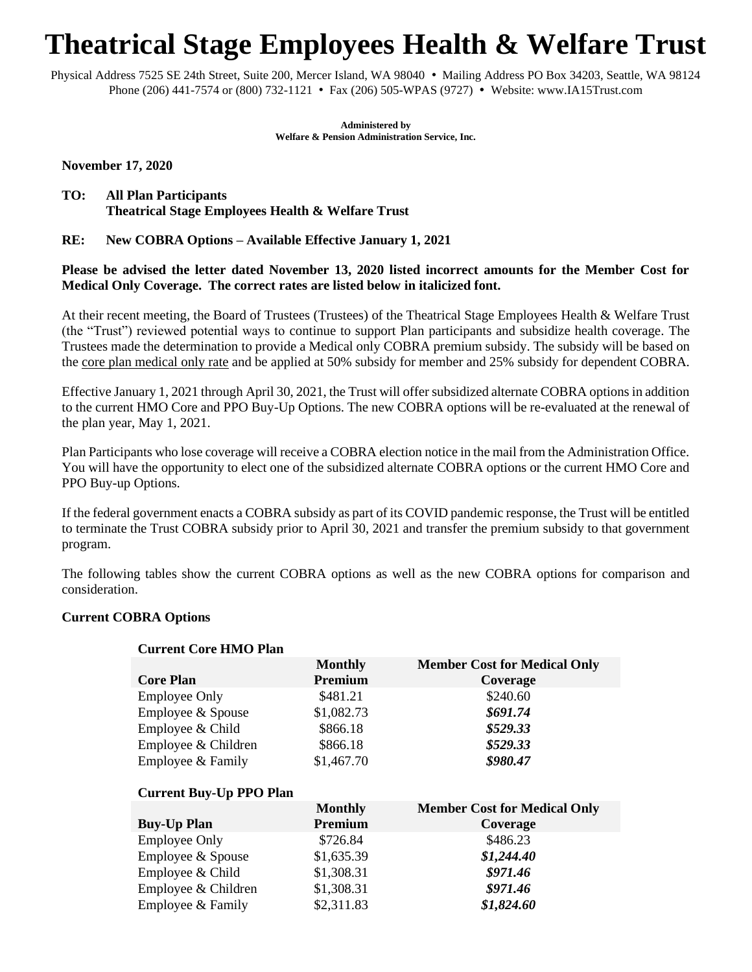# **Theatrical Stage Employees Health & Welfare Trust**

Physical Address 7525 SE 24th Street, Suite 200, Mercer Island, WA 98040 • Mailing Address PO Box 34203, Seattle, WA 98124 Phone (206) 441-7574 or (800) 732-1121 • Fax (206) 505-WPAS (9727) • Website: www.IA15Trust.com

> **Administered by Welfare & Pension Administration Service, Inc.**

**November 17, 2020**

**TO: All Plan Participants Theatrical Stage Employees Health & Welfare Trust**

# **RE: New COBRA Options – Available Effective January 1, 2021**

# **Please be advised the letter dated November 13, 2020 listed incorrect amounts for the Member Cost for Medical Only Coverage. The correct rates are listed below in italicized font.**

At their recent meeting, the Board of Trustees (Trustees) of the Theatrical Stage Employees Health & Welfare Trust (the "Trust") reviewed potential ways to continue to support Plan participants and subsidize health coverage. The Trustees made the determination to provide a Medical only COBRA premium subsidy. The subsidy will be based on the core plan medical only rate and be applied at 50% subsidy for member and 25% subsidy for dependent COBRA.

Effective January 1, 2021 through April 30, 2021, the Trust will offer subsidized alternate COBRA options in addition to the current HMO Core and PPO Buy-Up Options. The new COBRA options will be re-evaluated at the renewal of the plan year, May 1, 2021.

Plan Participants who lose coverage will receive a COBRA election notice in the mail from the Administration Office. You will have the opportunity to elect one of the subsidized alternate COBRA options or the current HMO Core and PPO Buy-up Options.

If the federal government enacts a COBRA subsidy as part of its COVID pandemic response, the Trust will be entitled to terminate the Trust COBRA subsidy prior to April 30, 2021 and transfer the premium subsidy to that government program.

The following tables show the current COBRA options as well as the new COBRA options for comparison and consideration.

## **Current COBRA Options**

| <b>Current Core HMO Plan</b>   |                           |                                                 |
|--------------------------------|---------------------------|-------------------------------------------------|
| <b>Core Plan</b>               | <b>Monthly</b><br>Premium | <b>Member Cost for Medical Only</b><br>Coverage |
| <b>Employee Only</b>           | \$481.21                  | \$240.60                                        |
| Employee & Spouse              | \$1,082.73                | \$691.74                                        |
| Employee & Child               | \$866.18                  | \$529.33                                        |
| Employee & Children            | \$866.18                  | \$529.33                                        |
| Employee & Family              | \$1,467.70                | \$980.47                                        |
| <b>Current Buy-Up PPO Plan</b> |                           |                                                 |
|                                | <b>Monthly</b>            | <b>Member Cost for Medical Only</b>             |
| <b>Buy-Up Plan</b>             | Premium                   | Coverage                                        |
| <b>Employee Only</b>           | \$726.84                  | \$486.23                                        |
| Employee & Spouse              | \$1,635.39                | \$1,244.40                                      |
| Employee & Child               | \$1,308.31                | \$971.46                                        |
| Employee & Children            | \$1,308.31                | \$971.46                                        |
| Employee & Family              | \$2,311.83                | \$1,824.60                                      |